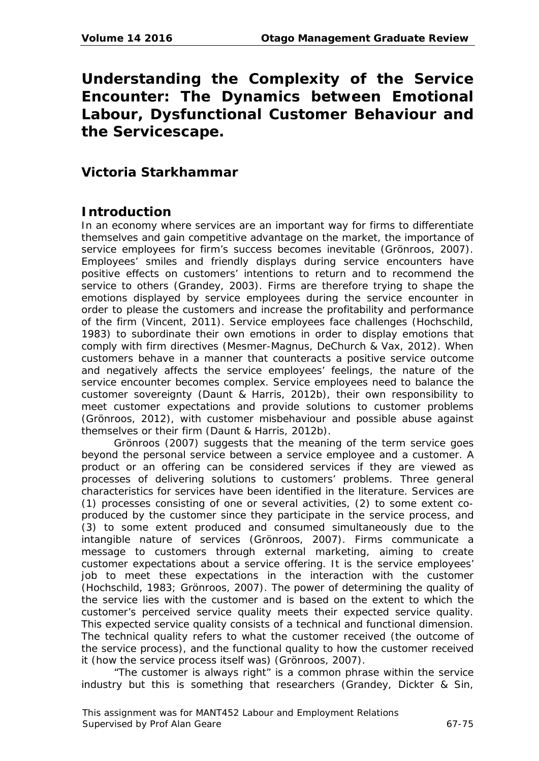# **Understanding the Complexity of the Service Encounter: The Dynamics between Emotional Labour, Dysfunctional Customer Behaviour and the Servicescape.**

# **Victoria Starkhammar**

# **Introduction**

In an economy where services are an important way for firms to differentiate themselves and gain competitive advantage on the market, the importance of service employees for firm's success becomes inevitable (Grönroos, 2007). Employees' smiles and friendly displays during service encounters have positive effects on customers' intentions to return and to recommend the service to others (Grandey, 2003). Firms are therefore trying to shape the emotions displayed by service employees during the service encounter in order to please the customers and increase the profitability and performance of the firm (Vincent, 2011). Service employees face challenges (Hochschild, 1983) to subordinate their own emotions in order to display emotions that comply with firm directives (Mesmer-Magnus, DeChurch & Vax, 2012). When customers behave in a manner that counteracts a positive service outcome and negatively affects the service employees' feelings, the nature of the service encounter becomes complex. Service employees need to balance the customer sovereignty (Daunt & Harris, 2012b), their own responsibility to meet customer expectations and provide solutions to customer problems (Grönroos, 2012), with customer misbehaviour and possible abuse against themselves or their firm (Daunt & Harris, 2012b).

Grönroos (2007) suggests that the meaning of the term service goes beyond the personal service between a service employee and a customer. A product or an offering can be considered services if they are viewed as processes of delivering solutions to customers' problems. Three general characteristics for services have been identified in the literature. Services are (1) processes consisting of one or several activities, (2) to some extent coproduced by the customer since they participate in the service process, and (3) to some extent produced and consumed simultaneously due to the intangible nature of services (Grönroos, 2007). Firms communicate a message to customers through external marketing, aiming to create customer expectations about a service offering. It is the service employees' job to meet these expectations in the interaction with the customer (Hochschild, 1983; Grönroos, 2007). The power of determining the quality of the service lies with the customer and is based on the extent to which the customer's perceived service quality meets their expected service quality. This expected service quality consists of a technical and functional dimension. The technical quality refers to what the customer received (the outcome of the service process), and the functional quality to how the customer received it (how the service process itself was) (Grönroos, 2007).

"The customer is always right" is a common phrase within the service industry but this is something that researchers (Grandey, Dickter & Sin,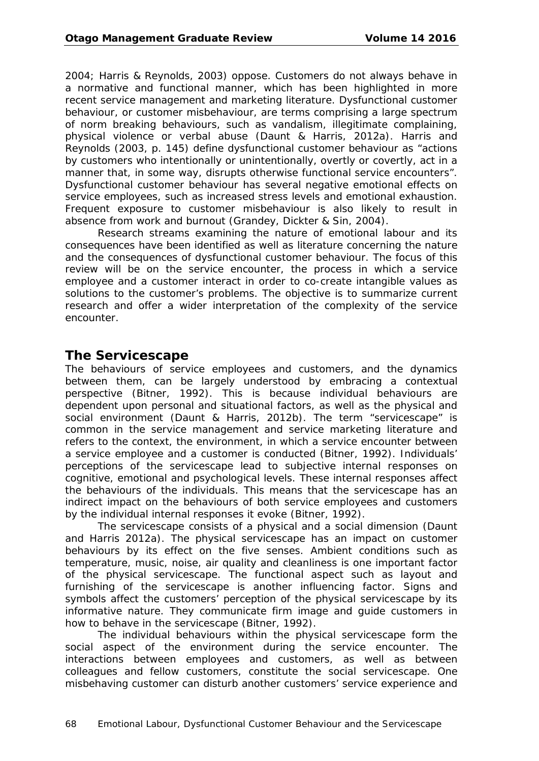2004; Harris & Reynolds, 2003) oppose. Customers do not always behave in a normative and functional manner, which has been highlighted in more recent service management and marketing literature. Dysfunctional customer behaviour, or customer misbehaviour, are terms comprising a large spectrum of norm breaking behaviours, such as vandalism, illegitimate complaining, physical violence or verbal abuse (Daunt & Harris, 2012a). Harris and Reynolds (2003, p. 145) define dysfunctional customer behaviour as "actions by customers who intentionally or unintentionally, overtly or covertly, act in a manner that, in some way, disrupts otherwise functional service encounters". Dysfunctional customer behaviour has several negative emotional effects on service employees, such as increased stress levels and emotional exhaustion. Frequent exposure to customer misbehaviour is also likely to result in absence from work and burnout (Grandey, Dickter & Sin, 2004).

Research streams examining the nature of emotional labour and its consequences have been identified as well as literature concerning the nature and the consequences of dysfunctional customer behaviour. The focus of this review will be on the service encounter, the process in which a service employee and a customer interact in order to co-create intangible values as solutions to the customer's problems. The objective is to summarize current research and offer a wider interpretation of the complexity of the service encounter.

#### **The Servicescape**

The behaviours of service employees and customers, and the dynamics between them, can be largely understood by embracing a contextual perspective (Bitner, 1992). This is because individual behaviours are dependent upon personal and situational factors, as well as the physical and social environment (Daunt & Harris, 2012b). The term "servicescape" is common in the service management and service marketing literature and refers to the context, the environment, in which a service encounter between a service employee and a customer is conducted (Bitner, 1992). Individuals' perceptions of the servicescape lead to subjective internal responses on cognitive, emotional and psychological levels. These internal responses affect the behaviours of the individuals. This means that the servicescape has an indirect impact on the behaviours of both service employees and customers by the individual internal responses it evoke (Bitner, 1992).

The servicescape consists of a physical and a social dimension (Daunt and Harris 2012a). The physical servicescape has an impact on customer behaviours by its effect on the five senses. Ambient conditions such as temperature, music, noise, air quality and cleanliness is one important factor of the physical servicescape. The functional aspect such as layout and furnishing of the servicescape is another influencing factor. Signs and symbols affect the customers' perception of the physical servicescape by its informative nature. They communicate firm image and guide customers in how to behave in the servicescape (Bitner, 1992).

The individual behaviours within the physical servicescape form the social aspect of the environment during the service encounter. The interactions between employees and customers, as well as between colleagues and fellow customers, constitute the social servicescape. One misbehaving customer can disturb another customers' service experience and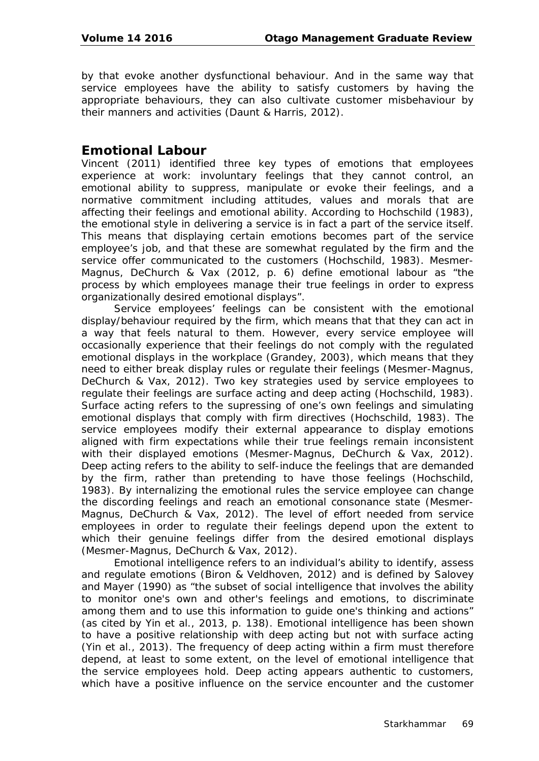by that evoke another dysfunctional behaviour. And in the same way that service employees have the ability to satisfy customers by having the appropriate behaviours, they can also cultivate customer misbehaviour by their manners and activities (Daunt & Harris, 2012).

## **Emotional Labour**

Vincent (2011) identified three key types of emotions that employees experience at work: involuntary feelings that they cannot control, an emotional ability to suppress, manipulate or evoke their feelings, and a normative commitment including attitudes, values and morals that are affecting their feelings and emotional ability. According to Hochschild (1983), the emotional style in delivering a service is in fact a part of the service itself. This means that displaying certain emotions becomes part of the service employee's job, and that these are somewhat regulated by the firm and the service offer communicated to the customers (Hochschild, 1983). Mesmer-Magnus, DeChurch & Vax (2012, p. 6) define emotional labour as "the process by which employees manage their true feelings in order to express organizationally desired emotional displays".

Service employees' feelings can be consistent with the emotional display/behaviour required by the firm, which means that that they can act in a way that feels natural to them. However, every service employee will occasionally experience that their feelings do not comply with the regulated emotional displays in the workplace (Grandey, 2003), which means that they need to either break display rules or regulate their feelings (Mesmer-Magnus, DeChurch & Vax, 2012). Two key strategies used by service employees to regulate their feelings are surface acting and deep acting (Hochschild, 1983). Surface acting refers to the supressing of one's own feelings and simulating emotional displays that comply with firm directives (Hochschild, 1983). The service employees modify their external appearance to display emotions aligned with firm expectations while their true feelings remain inconsistent with their displayed emotions (Mesmer-Magnus, DeChurch & Vax, 2012). Deep acting refers to the ability to self-induce the feelings that are demanded by the firm, rather than pretending to have those feelings (Hochschild, 1983). By internalizing the emotional rules the service employee can change the discording feelings and reach an emotional consonance state (Mesmer-Magnus, DeChurch & Vax, 2012). The level of effort needed from service employees in order to regulate their feelings depend upon the extent to which their genuine feelings differ from the desired emotional displays (Mesmer-Magnus, DeChurch & Vax, 2012).

Emotional intelligence refers to an individual's ability to identify, assess and regulate emotions (Biron & Veldhoven, 2012) and is defined by Salovey and Mayer (1990) as "the subset of social intelligence that involves the ability to monitor one's own and other's feelings and emotions, to discriminate among them and to use this information to guide one's thinking and actions" (as cited by Yin et al., 2013, p. 138). Emotional intelligence has been shown to have a positive relationship with deep acting but not with surface acting (Yin et al., 2013). The frequency of deep acting within a firm must therefore depend, at least to some extent, on the level of emotional intelligence that the service employees hold. Deep acting appears authentic to customers, which have a positive influence on the service encounter and the customer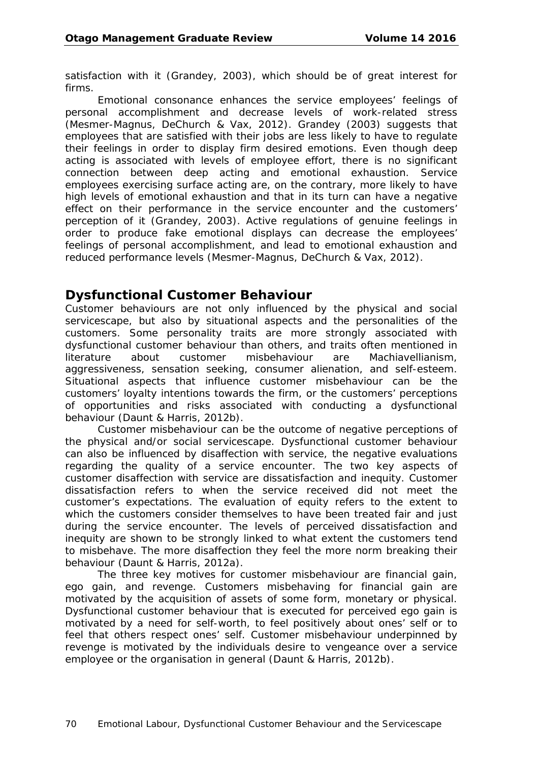satisfaction with it (Grandey, 2003), which should be of great interest for firms.

Emotional consonance enhances the service employees' feelings of personal accomplishment and decrease levels of work-related stress (Mesmer-Magnus, DeChurch & Vax, 2012). Grandey (2003) suggests that employees that are satisfied with their jobs are less likely to have to regulate their feelings in order to display firm desired emotions. Even though deep acting is associated with levels of employee effort, there is no significant connection between deep acting and emotional exhaustion. Service employees exercising surface acting are, on the contrary, more likely to have high levels of emotional exhaustion and that in its turn can have a negative effect on their performance in the service encounter and the customers' perception of it (Grandey, 2003). Active regulations of genuine feelings in order to produce fake emotional displays can decrease the employees' feelings of personal accomplishment, and lead to emotional exhaustion and reduced performance levels (Mesmer-Magnus, DeChurch & Vax, 2012).

#### **Dysfunctional Customer Behaviour**

Customer behaviours are not only influenced by the physical and social servicescape, but also by situational aspects and the personalities of the customers. Some personality traits are more strongly associated with dysfunctional customer behaviour than others, and traits often mentioned in literature about customer misbehaviour are Machiavellianism, aggressiveness, sensation seeking, consumer alienation, and self-esteem. Situational aspects that influence customer misbehaviour can be the customers' loyalty intentions towards the firm, or the customers' perceptions of opportunities and risks associated with conducting a dysfunctional behaviour (Daunt & Harris, 2012b).

Customer misbehaviour can be the outcome of negative perceptions of the physical and/or social servicescape. Dysfunctional customer behaviour can also be influenced by disaffection with service, the negative evaluations regarding the quality of a service encounter. The two key aspects of customer disaffection with service are dissatisfaction and inequity. Customer dissatisfaction refers to when the service received did not meet the customer's expectations. The evaluation of equity refers to the extent to which the customers consider themselves to have been treated fair and just during the service encounter. The levels of perceived dissatisfaction and inequity are shown to be strongly linked to what extent the customers tend to misbehave. The more disaffection they feel the more norm breaking their behaviour (Daunt & Harris, 2012a).

The three key motives for customer misbehaviour are financial gain, ego gain, and revenge. Customers misbehaving for financial gain are motivated by the acquisition of assets of some form, monetary or physical. Dysfunctional customer behaviour that is executed for perceived ego gain is motivated by a need for self-worth, to feel positively about ones' self or to feel that others respect ones' self. Customer misbehaviour underpinned by revenge is motivated by the individuals desire to vengeance over a service employee or the organisation in general (Daunt & Harris, 2012b).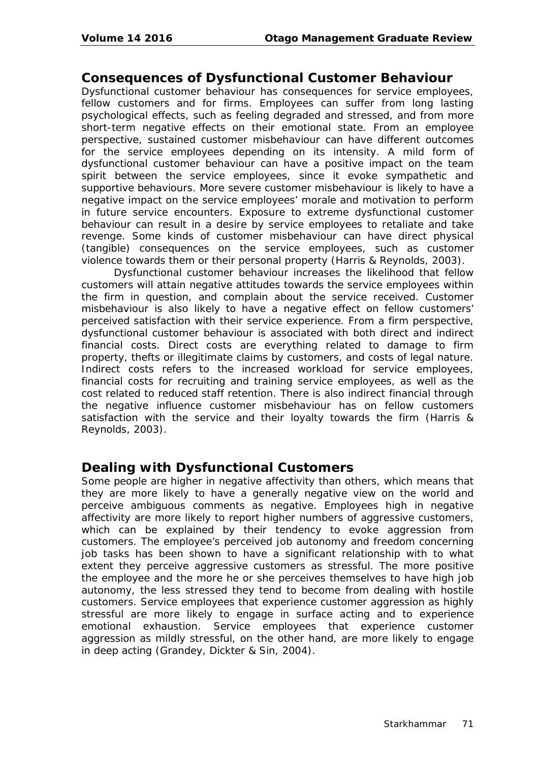#### **Consequences of Dysfunctional Customer Behaviour**

Dysfunctional customer behaviour has consequences for service employees, fellow customers and for firms. Employees can suffer from long lasting psychological effects, such as feeling degraded and stressed, and from more short-term negative effects on their emotional state. From an employee perspective, sustained customer misbehaviour can have different outcomes for the service employees depending on its intensity. A mild form of dysfunctional customer behaviour can have a positive impact on the team spirit between the service employees, since it evoke sympathetic and supportive behaviours. More severe customer misbehaviour is likely to have a negative impact on the service employees' morale and motivation to perform in future service encounters. Exposure to extreme dysfunctional customer behaviour can result in a desire by service employees to retaliate and take revenge. Some kinds of customer misbehaviour can have direct physical (tangible) consequences on the service employees, such as customer violence towards them or their personal property (Harris & Reynolds, 2003).

Dysfunctional customer behaviour increases the likelihood that fellow customers will attain negative attitudes towards the service employees within the firm in question, and complain about the service received. Customer misbehaviour is also likely to have a negative effect on fellow customers' perceived satisfaction with their service experience. From a firm perspective, dysfunctional customer behaviour is associated with both direct and indirect financial costs. Direct costs are everything related to damage to firm property, thefts or illegitimate claims by customers, and costs of legal nature. Indirect costs refers to the increased workload for service employees, financial costs for recruiting and training service employees, as well as the cost related to reduced staff retention. There is also indirect financial through the negative influence customer misbehaviour has on fellow customers satisfaction with the service and their loyalty towards the firm (Harris & Reynolds, 2003).

#### **Dealing with Dysfunctional Customers**

Some people are higher in negative affectivity than others, which means that they are more likely to have a generally negative view on the world and perceive ambiguous comments as negative. Employees high in negative affectivity are more likely to report higher numbers of aggressive customers, which can be explained by their tendency to evoke aggression from customers. The employee's perceived job autonomy and freedom concerning job tasks has been shown to have a significant relationship with to what extent they perceive aggressive customers as stressful. The more positive the employee and the more he or she perceives themselves to have high job autonomy, the less stressed they tend to become from dealing with hostile customers. Service employees that experience customer aggression as highly stressful are more likely to engage in surface acting and to experience emotional exhaustion. Service employees that experience customer aggression as mildly stressful, on the other hand, are more likely to engage in deep acting (Grandey, Dickter & Sin, 2004).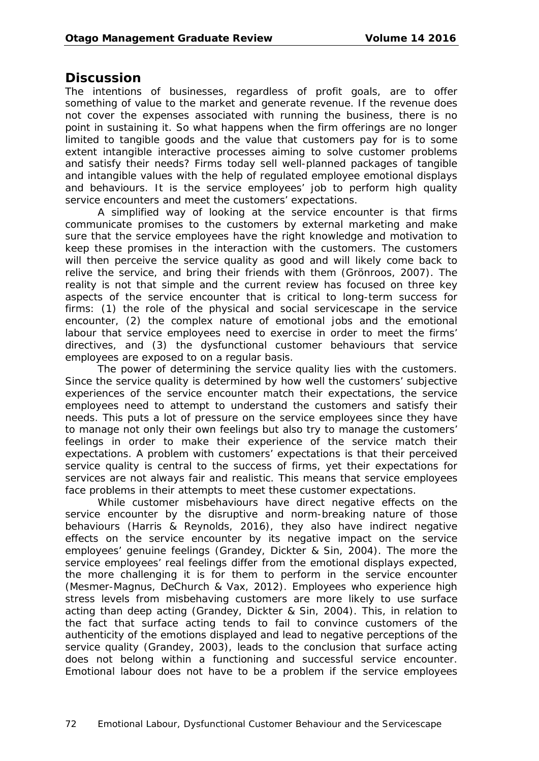#### **Discussion**

The intentions of businesses, regardless of profit goals, are to offer something of value to the market and generate revenue. If the revenue does not cover the expenses associated with running the business, there is no point in sustaining it. So what happens when the firm offerings are no longer limited to tangible goods and the value that customers pay for is to some extent intangible interactive processes aiming to solve customer problems and satisfy their needs? Firms today sell well-planned packages of tangible and intangible values with the help of regulated employee emotional displays and behaviours. It is the service employees' job to perform high quality service encounters and meet the customers' expectations.

A simplified way of looking at the service encounter is that firms communicate promises to the customers by external marketing and make sure that the service employees have the right knowledge and motivation to keep these promises in the interaction with the customers. The customers will then perceive the service quality as good and will likely come back to relive the service, and bring their friends with them (Grönroos, 2007). The reality is not that simple and the current review has focused on three key aspects of the service encounter that is critical to long-term success for firms: (1) the role of the physical and social servicescape in the service encounter, (2) the complex nature of emotional jobs and the emotional labour that service employees need to exercise in order to meet the firms' directives, and (3) the dysfunctional customer behaviours that service employees are exposed to on a regular basis.

The power of determining the service quality lies with the customers. Since the service quality is determined by how well the customers' subjective experiences of the service encounter match their expectations, the service employees need to attempt to understand the customers and satisfy their needs. This puts a lot of pressure on the service employees since they have to manage not only their own feelings but also try to manage the customers' feelings in order to make their experience of the service match their expectations. A problem with customers' expectations is that their perceived service quality is central to the success of firms, yet their expectations for services are not always fair and realistic. This means that service employees face problems in their attempts to meet these customer expectations.

While customer misbehaviours have direct negative effects on the service encounter by the disruptive and norm-breaking nature of those behaviours (Harris & Reynolds, 2016), they also have indirect negative effects on the service encounter by its negative impact on the service employees' genuine feelings (Grandey, Dickter & Sin, 2004). The more the service employees' real feelings differ from the emotional displays expected, the more challenging it is for them to perform in the service encounter (Mesmer-Magnus, DeChurch & Vax, 2012). Employees who experience high stress levels from misbehaving customers are more likely to use surface acting than deep acting (Grandey, Dickter & Sin, 2004). This, in relation to the fact that surface acting tends to fail to convince customers of the authenticity of the emotions displayed and lead to negative perceptions of the service quality (Grandey, 2003), leads to the conclusion that surface acting does not belong within a functioning and successful service encounter. Emotional labour does not have to be a problem if the service employees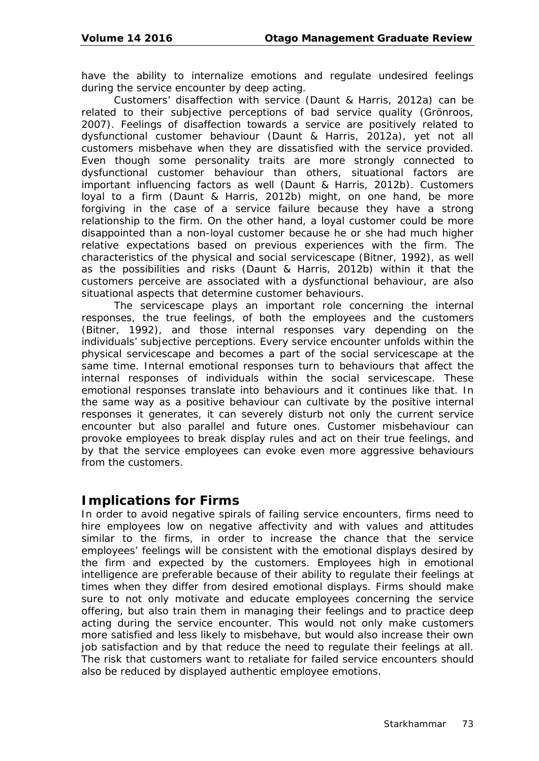have the ability to internalize emotions and regulate undesired feelings during the service encounter by deep acting.

Customers' disaffection with service (Daunt & Harris, 2012a) can be related to their subjective perceptions of bad service quality (Grönroos, 2007). Feelings of disaffection towards a service are positively related to dysfunctional customer behaviour (Daunt & Harris, 2012a), yet not all customers misbehave when they are dissatisfied with the service provided. Even though some personality traits are more strongly connected to dysfunctional customer behaviour than others, situational factors are important influencing factors as well (Daunt & Harris, 2012b). Customers loyal to a firm (Daunt & Harris, 2012b) might, on one hand, be more forgiving in the case of a service failure because they have a strong relationship to the firm. On the other hand, a loyal customer could be more disappointed than a non-loyal customer because he or she had much higher relative expectations based on previous experiences with the firm. The characteristics of the physical and social servicescape (Bitner, 1992), as well as the possibilities and risks (Daunt & Harris, 2012b) within it that the customers perceive are associated with a dysfunctional behaviour, are also situational aspects that determine customer behaviours.

The servicescape plays an important role concerning the internal responses, the true feelings, of both the employees and the customers (Bitner, 1992), and those internal responses vary depending on the individuals' subjective perceptions. Every service encounter unfolds within the physical servicescape and becomes a part of the social servicescape at the same time. Internal emotional responses turn to behaviours that affect the internal responses of individuals within the social servicescape. These emotional responses translate into behaviours and it continues like that. In the same way as a positive behaviour can cultivate by the positive internal responses it generates, it can severely disturb not only the current service encounter but also parallel and future ones. Customer misbehaviour can provoke employees to break display rules and act on their true feelings, and by that the service employees can evoke even more aggressive behaviours from the customers.

### **Implications for Firms**

In order to avoid negative spirals of failing service encounters, firms need to hire employees low on negative affectivity and with values and attitudes similar to the firms, in order to increase the chance that the service employees' feelings will be consistent with the emotional displays desired by the firm and expected by the customers. Employees high in emotional intelligence are preferable because of their ability to regulate their feelings at times when they differ from desired emotional displays. Firms should make sure to not only motivate and educate employees concerning the service offering, but also train them in managing their feelings and to practice deep acting during the service encounter. This would not only make customers more satisfied and less likely to misbehave, but would also increase their own job satisfaction and by that reduce the need to regulate their feelings at all. The risk that customers want to retaliate for failed service encounters should also be reduced by displayed authentic employee emotions.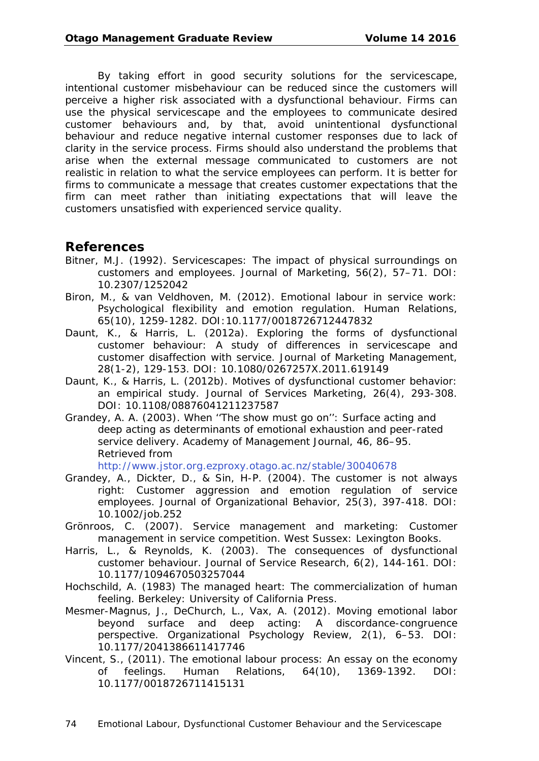By taking effort in good security solutions for the servicescape, intentional customer misbehaviour can be reduced since the customers will perceive a higher risk associated with a dysfunctional behaviour. Firms can use the physical servicescape and the employees to communicate desired customer behaviours and, by that, avoid unintentional dysfunctional behaviour and reduce negative internal customer responses due to lack of clarity in the service process. Firms should also understand the problems that arise when the external message communicated to customers are not realistic in relation to what the service employees can perform. It is better for firms to communicate a message that creates customer expectations that the firm can meet rather than initiating expectations that will leave the customers unsatisfied with experienced service quality.

### **References**

- Bitner, M.J. (1992). Servicescapes: The impact of physical surroundings on customers and employees. *Journal of Marketing*, *56*(2), 57–71. DOI: 10.2307/1252042
- Biron, M., & van Veldhoven, M. (2012). Emotional labour in service work: Psychological flexibility and emotion regulation. *Human Relations, 65*(10), 1259-1282. DOI:10.1177/0018726712447832
- Daunt, K., & Harris, L. (2012a). Exploring the forms of dysfunctional customer behaviour: A study of differences in servicescape and customer disaffection with service. *Journal of Marketing Management*, *28*(1-2), 129-153. DOI: 10.1080/0267257X.2011.619149
- Daunt, K., & Harris, L. (2012b). Motives of dysfunctional customer behavior: an empirical study. *Journal of Services Marketing*, *26*(4), 293-308. DOI: 10.1108/08876041211237587
- Grandey, A. A. (2003). When ''The show must go on'': Surface acting and deep acting as determinants of emotional exhaustion and peer-rated service delivery. *[Academy of Management Journal, 46](http://www.jstor.org.ezproxy.otago.ac.nz/stable/30040678)*, 86–95. Retrieved from

<http://www.jstor.org.ezproxy.otago.ac.nz/stable/30040678>

- Grandey, A., Dickter, D., & Sin, H-P. (2004). The customer is not always right: Customer aggression and emotion regulation of service employees. *Journal of Organizational Behavior*, 25(3), 397-418. DOI: 10.1002/job.252
- Grönroos, C. (2007). *Service management and marketing: Customer management in service competition*. West Sussex: Lexington Books.
- Harris, L., & Reynolds, K. (2003). The consequences of dysfunctional customer behaviour. *Journal of Service Research*, *6*(2), 144-161. DOI: 10.1177/1094670503257044
- Hochschild, A. (1983) *The managed heart: The commercialization of human feeling*. Berkeley: University of California Press.
- Mesmer-Magnus, J., DeChurch, L., Vax, A. (2012). Moving emotional labor beyond surface and deep acting: A discordance-congruence perspective. *Organizational Psychology Review*, *2*(1), 6–53. DOI: 10.1177/2041386611417746
- Vincent, S., (2011). The emotional labour process: An essay on the economy of feelings. *Human Relations, 64*(10), 1369-1392. DOI: 10.1177/0018726711415131